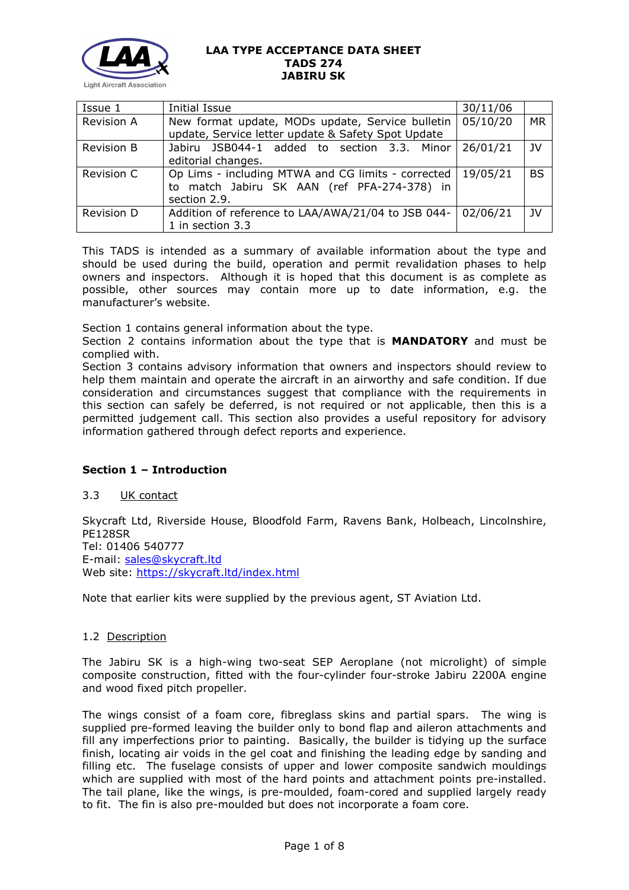

| Issue 1           | Initial Issue                                        | 30/11/06 |           |
|-------------------|------------------------------------------------------|----------|-----------|
| <b>Revision A</b> | New format update, MODs update, Service bulletin     | 05/10/20 | MR        |
|                   | update, Service letter update & Safety Spot Update   |          |           |
| <b>Revision B</b> | Jabiru JSB044-1 added to section 3.3. Minor 26/01/21 |          | - IV      |
|                   | editorial changes.                                   |          |           |
| Revision C        | Op Lims - including MTWA and CG limits - corrected   | 19/05/21 | <b>BS</b> |
|                   | to match Jabiru SK AAN (ref PFA-274-378) in          |          |           |
|                   | section 2.9.                                         |          |           |
| Revision D        | Addition of reference to LAA/AWA/21/04 to JSB 044-   | 02/06/21 | JV        |
|                   | 1 in section 3.3                                     |          |           |

This TADS is intended as a summary of available information about the type and should be used during the build, operation and permit revalidation phases to help owners and inspectors. Although it is hoped that this document is as complete as possible, other sources may contain more up to date information, e.g. the manufacturer's website.

Section 1 contains general information about the type.

Section 2 contains information about the type that is **MANDATORY** and must be complied with.

Section 3 contains advisory information that owners and inspectors should review to help them maintain and operate the aircraft in an airworthy and safe condition. If due consideration and circumstances suggest that compliance with the requirements in this section can safely be deferred, is not required or not applicable, then this is a permitted judgement call. This section also provides a useful repository for advisory information gathered through defect reports and experience.

## **Section 1 – Introduction**

## 3.3 UK contact

Skycraft Ltd, Riverside House, Bloodfold Farm, Ravens Bank, Holbeach, Lincolnshire, PE128SR Tel: 01406 540777 E-mail: [sales@skycraft.ltd](mailto:sales@skycraft.ltd) Web site: <https://skycraft.ltd/index.html>

Note that earlier kits were supplied by the previous agent, ST Aviation Ltd.

## 1.2 Description

The Jabiru SK is a high-wing two-seat SEP Aeroplane (not microlight) of simple composite construction, fitted with the four-cylinder four-stroke Jabiru 2200A engine and wood fixed pitch propeller.

The wings consist of a foam core, fibreglass skins and partial spars. The wing is supplied pre-formed leaving the builder only to bond flap and aileron attachments and fill any imperfections prior to painting. Basically, the builder is tidying up the surface finish, locating air voids in the gel coat and finishing the leading edge by sanding and filling etc. The fuselage consists of upper and lower composite sandwich mouldings which are supplied with most of the hard points and attachment points pre-installed. The tail plane, like the wings, is pre-moulded, foam-cored and supplied largely ready to fit. The fin is also pre-moulded but does not incorporate a foam core.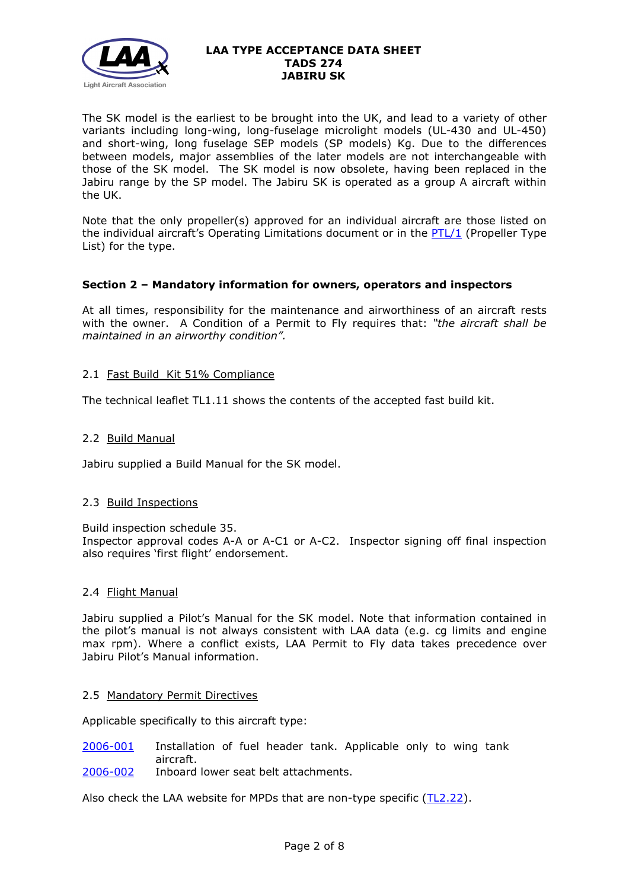

The SK model is the earliest to be brought into the UK, and lead to a variety of other variants including long-wing, long-fuselage microlight models (UL-430 and UL-450) and short-wing, long fuselage SEP models (SP models) Kg. Due to the differences between models, major assemblies of the later models are not interchangeable with those of the SK model. The SK model is now obsolete, having been replaced in the Jabiru range by the SP model. The Jabiru SK is operated as a group A aircraft within the UK.

Note that the only propeller(s) approved for an individual aircraft are those listed on the individual aircraft's Operating Limitations document or in the [PTL/1](http://www.lightaircraftassociation.co.uk/engineering/NewMods/PTL.html) (Propeller Type List) for the type.

# **Section 2 – Mandatory information for owners, operators and inspectors**

At all times, responsibility for the maintenance and airworthiness of an aircraft rests with the owner. A Condition of a Permit to Fly requires that: *"the aircraft shall be maintained in an airworthy condition".* 

# 2.1 Fast Build Kit 51% Compliance

The technical leaflet TL1.11 shows the contents of the accepted fast build kit.

## 2.2 Build Manual

Jabiru supplied a Build Manual for the SK model.

## 2.3 Build Inspections

Build inspection schedule 35.

Inspector approval codes A-A or A-C1 or A-C2. Inspector signing off final inspection also requires 'first flight' endorsement.

# 2.4 Flight Manual

Jabiru supplied a Pilot's Manual for the SK model. Note that information contained in the pilot's manual is not always consistent with LAA data (e.g. cg limits and engine max rpm). Where a conflict exists, LAA Permit to Fly data takes precedence over Jabiru Pilot's Manual information.

## 2.5 Mandatory Permit Directives

Applicable specifically to this aircraft type:

- [2006-001](http://www.lightaircraftassociation.co.uk/engineering/TADs/274/MPD2006-001.pdf) Installation of fuel header tank. Applicable only to wing tank aircraft.
- [2006-002](http://www.lightaircraftassociation.co.uk/engineering/TADs/274/MPD2006-002.pdf) Inboard lower seat belt attachments.

Also check the LAA website for MPDs that are non-type specific [\(TL2.22\)](http://www.lightaircraftassociation.co.uk/engineering/TechnicalLeaflets/Operating%20An%20Aircraft/TL%202.22%20non-type%20specific%20MPDs.pdf).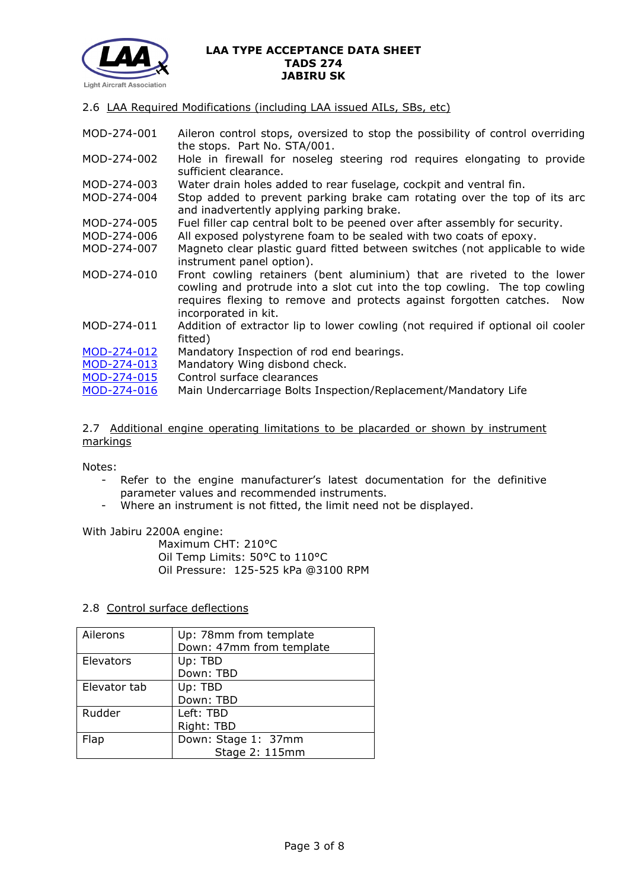

2.6 LAA Required Modifications (including LAA issued AILs, SBs, etc)

MOD-274-001 Aileron control stops, oversized to stop the possibility of control overriding the stops. Part No. STA/001. MOD-274-002 Hole in firewall for noseleg steering rod requires elongating to provide sufficient clearance. MOD-274-003 Water drain holes added to rear fuselage, cockpit and ventral fin. MOD-274-004 Stop added to prevent parking brake cam rotating over the top of its arc and inadvertently applying parking brake. MOD-274-005 Fuel filler cap central bolt to be peened over after assembly for security. MOD-274-006 All exposed polystyrene foam to be sealed with two coats of epoxy. MOD-274-007 Magneto clear plastic guard fitted between switches (not applicable to wide instrument panel option). MOD-274-010 Front cowling retainers (bent aluminium) that are riveted to the lower cowling and protrude into a slot cut into the top cowling. The top cowling requires flexing to remove and protects against forgotten catches. Now incorporated in kit. MOD-274-011 Addition of extractor lip to lower cowling (not required if optional oil cooler fitted) [MOD-274-012](http://www.lightaircraftassociation.co.uk/engineering/TADs/274/MOD-274-012.pdf) Mandatory Inspection of rod end bearings. [MOD-274-013](http://www.lightaircraftassociation.co.uk/engineering/TADs/274/MOD-274-013.pdf) Mandatory Wing disbond check. [MOD-274-015](http://www.lightaircraftassociation.co.uk/engineering/TADs/274/MOD-274-015.pdf) Control surface clearances [MOD-274-016](https://lightaircraftassociation.sharepoint.com/sites/Engineering/Shared%20Documents/TADS/274%20JABIRU%20SK/274/MOD-274-016.pdf) Main Undercarriage Bolts Inspection/Replacement/Mandatory Life

2.7 Additional engine operating limitations to be placarded or shown by instrument markings

Notes:

- Refer to the engine manufacturer's latest documentation for the definitive parameter values and recommended instruments.
- Where an instrument is not fitted, the limit need not be displayed.

With Jabiru 2200A engine:

Maximum CHT: 210°C Oil Temp Limits: 50°C to 110°C Oil Pressure: 125-525 kPa @3100 RPM

## 2.8 Control surface deflections

| Ailerons     | Up: 78mm from template   |
|--------------|--------------------------|
|              | Down: 47mm from template |
| Elevators    | Up: TBD                  |
|              | Down: TBD                |
| Elevator tab | Up: TBD                  |
|              | Down: TBD                |
| Rudder       | Left: TBD                |
|              | Right: TBD               |
| Flap         | Down: Stage 1: 37mm      |
|              | Stage 2: 115mm           |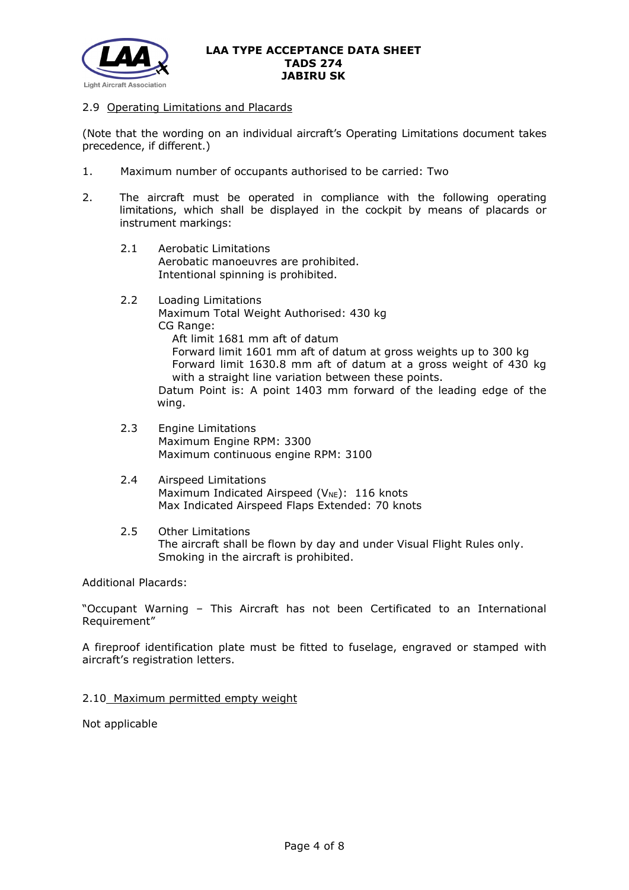

## 2.9 Operating Limitations and Placards

(Note that the wording on an individual aircraft's Operating Limitations document takes precedence, if different.)

- 1. Maximum number of occupants authorised to be carried: Two
- 2. The aircraft must be operated in compliance with the following operating limitations, which shall be displayed in the cockpit by means of placards or instrument markings:
	- 2.1 Aerobatic Limitations Aerobatic manoeuvres are prohibited. Intentional spinning is prohibited.
	- 2.2 Loading Limitations Maximum Total Weight Authorised: 430 kg CG Range: Aft limit 1681 mm aft of datum Forward limit 1601 mm aft of datum at gross weights up to 300 kg Forward limit 1630.8 mm aft of datum at a gross weight of 430 kg with a straight line variation between these points. Datum Point is: A point 1403 mm forward of the leading edge of the wing.
	- 2.3 Engine Limitations Maximum Engine RPM: 3300 Maximum continuous engine RPM: 3100
	- 2.4 Airspeed Limitations Maximum Indicated Airspeed ( $V_{NE}$ ): 116 knots Max Indicated Airspeed Flaps Extended: 70 knots
	- 2.5 Other Limitations The aircraft shall be flown by day and under Visual Flight Rules only. Smoking in the aircraft is prohibited.

## Additional Placards:

"Occupant Warning – This Aircraft has not been Certificated to an International Requirement"

A fireproof identification plate must be fitted to fuselage, engraved or stamped with aircraft's registration letters.

## 2.10 Maximum permitted empty weight

Not applicable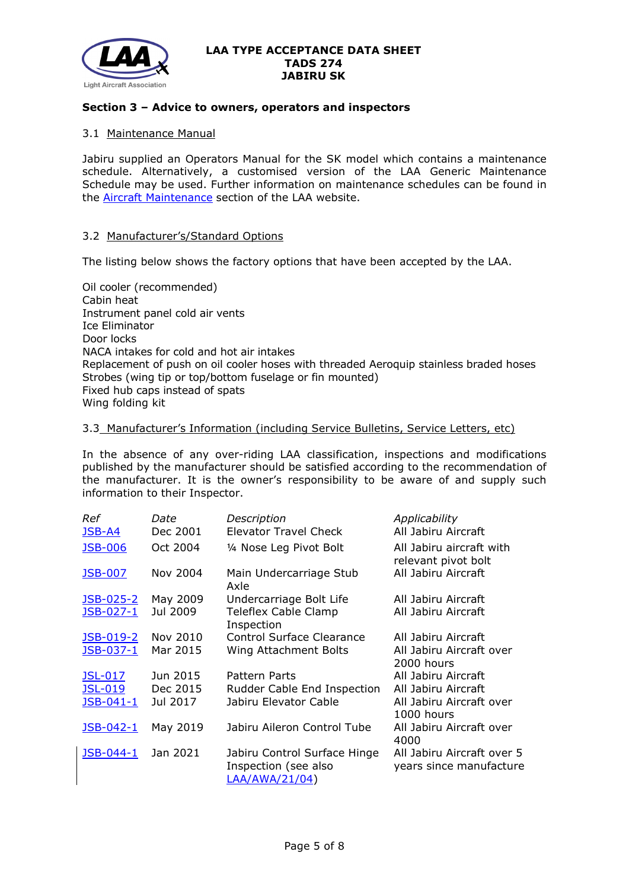

## **Section 3 – Advice to owners, operators and inspectors**

### 3.1 Maintenance Manual

Jabiru supplied an Operators Manual for the SK model which contains a maintenance schedule. Alternatively, a customised version of the LAA Generic Maintenance Schedule may be used. Further information on maintenance schedules can be found in the [Aircraft Maintenance](http://www.lightaircraftassociation.co.uk/engineering/Maintenance/Aircraft_Maintenance.html) section of the LAA website.

### 3.2 Manufacturer's/Standard Options

The listing below shows the factory options that have been accepted by the LAA.

Oil cooler (recommended) Cabin heat Instrument panel cold air vents Ice Eliminator Door locks NACA intakes for cold and hot air intakes Replacement of push on oil cooler hoses with threaded Aeroquip stainless braded hoses Strobes (wing tip or top/bottom fuselage or fin mounted) Fixed hub caps instead of spats Wing folding kit

### 3.3 Manufacturer's Information (including Service Bulletins, Service Letters, etc)

In the absence of any over-riding LAA classification, inspections and modifications published by the manufacturer should be satisfied according to the recommendation of the manufacturer. It is the owner's responsibility to be aware of and supply such information to their Inspector.

| Ref<br><b>JSB-A4</b> | Date<br>Dec 2001 | Description<br>Elevator Travel Check                                   | Applicability<br>All Jabiru Aircraft                  |
|----------------------|------------------|------------------------------------------------------------------------|-------------------------------------------------------|
| <b>JSB-006</b>       | Oct 2004         | 1/4 Nose Leg Pivot Bolt                                                | All Jabiru aircraft with<br>relevant pivot bolt       |
| <b>JSB-007</b>       | Nov 2004         | Main Undercarriage Stub<br>Axle                                        | All Jabiru Aircraft                                   |
| JSB-025-2            | May 2009         | Undercarriage Bolt Life                                                | All Jabiru Aircraft                                   |
| JSB-027-1            | Jul 2009         | Teleflex Cable Clamp<br>Inspection                                     | All Jabiru Aircraft                                   |
| <u>JSB-019-2</u>     | Nov 2010         | <b>Control Surface Clearance</b>                                       | All Jabiru Aircraft                                   |
| JSB-037-1            | Mar 2015         | Wing Attachment Bolts                                                  | All Jabiru Aircraft over<br>2000 hours                |
| <b>JSL-017</b>       | Jun 2015         | Pattern Parts                                                          | All Jabiru Aircraft                                   |
| <b>JSL-019</b>       | Dec 2015         | Rudder Cable End Inspection                                            | All Jabiru Aircraft                                   |
| JSB-041-1            | Jul 2017         | Jabiru Elevator Cable                                                  | All Jabiru Aircraft over<br>1000 hours                |
| JSB-042-1            | May 2019         | Jabiru Aileron Control Tube                                            | All Jabiru Aircraft over<br>4000                      |
| JSB-044-1            | Jan 2021         | Jabiru Control Surface Hinge<br>Inspection (see also<br>LAA/AWA/21/04) | All Jabiru Aircraft over 5<br>years since manufacture |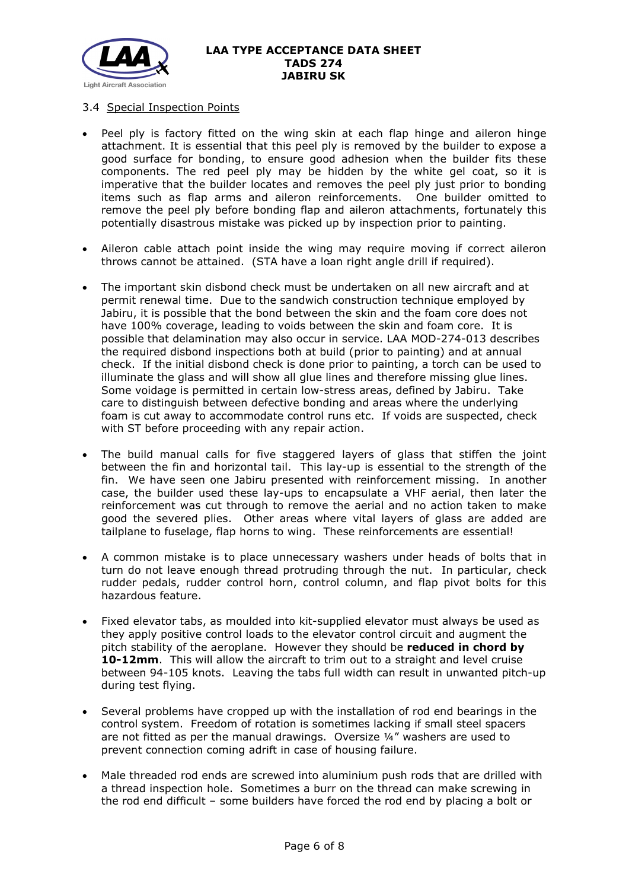

## 3.4 Special Inspection Points

- Peel ply is factory fitted on the wing skin at each flap hinge and aileron hinge attachment. It is essential that this peel ply is removed by the builder to expose a good surface for bonding, to ensure good adhesion when the builder fits these components. The red peel ply may be hidden by the white gel coat, so it is imperative that the builder locates and removes the peel ply just prior to bonding items such as flap arms and aileron reinforcements. One builder omitted to remove the peel ply before bonding flap and aileron attachments, fortunately this potentially disastrous mistake was picked up by inspection prior to painting.
- Aileron cable attach point inside the wing may require moving if correct aileron throws cannot be attained. (STA have a loan right angle drill if required).
- The important skin disbond check must be undertaken on all new aircraft and at permit renewal time. Due to the sandwich construction technique employed by Jabiru, it is possible that the bond between the skin and the foam core does not have 100% coverage, leading to voids between the skin and foam core. It is possible that delamination may also occur in service. LAA MOD-274-013 describes the required disbond inspections both at build (prior to painting) and at annual check. If the initial disbond check is done prior to painting, a torch can be used to illuminate the glass and will show all glue lines and therefore missing glue lines. Some voidage is permitted in certain low-stress areas, defined by Jabiru. Take care to distinguish between defective bonding and areas where the underlying foam is cut away to accommodate control runs etc. If voids are suspected, check with ST before proceeding with any repair action.
- The build manual calls for five staggered layers of glass that stiffen the joint between the fin and horizontal tail. This lay-up is essential to the strength of the fin. We have seen one Jabiru presented with reinforcement missing. In another case, the builder used these lay-ups to encapsulate a VHF aerial, then later the reinforcement was cut through to remove the aerial and no action taken to make good the severed plies. Other areas where vital layers of glass are added are tailplane to fuselage, flap horns to wing. These reinforcements are essential!
- A common mistake is to place unnecessary washers under heads of bolts that in turn do not leave enough thread protruding through the nut. In particular, check rudder pedals, rudder control horn, control column, and flap pivot bolts for this hazardous feature.
- Fixed elevator tabs, as moulded into kit-supplied elevator must always be used as they apply positive control loads to the elevator control circuit and augment the pitch stability of the aeroplane. However they should be **reduced in chord by 10-12mm**. This will allow the aircraft to trim out to a straight and level cruise between 94-105 knots. Leaving the tabs full width can result in unwanted pitch-up during test flying.
- Several problems have cropped up with the installation of rod end bearings in the control system. Freedom of rotation is sometimes lacking if small steel spacers are not fitted as per the manual drawings. Oversize ¼" washers are used to prevent connection coming adrift in case of housing failure.
- Male threaded rod ends are screwed into aluminium push rods that are drilled with a thread inspection hole. Sometimes a burr on the thread can make screwing in the rod end difficult – some builders have forced the rod end by placing a bolt or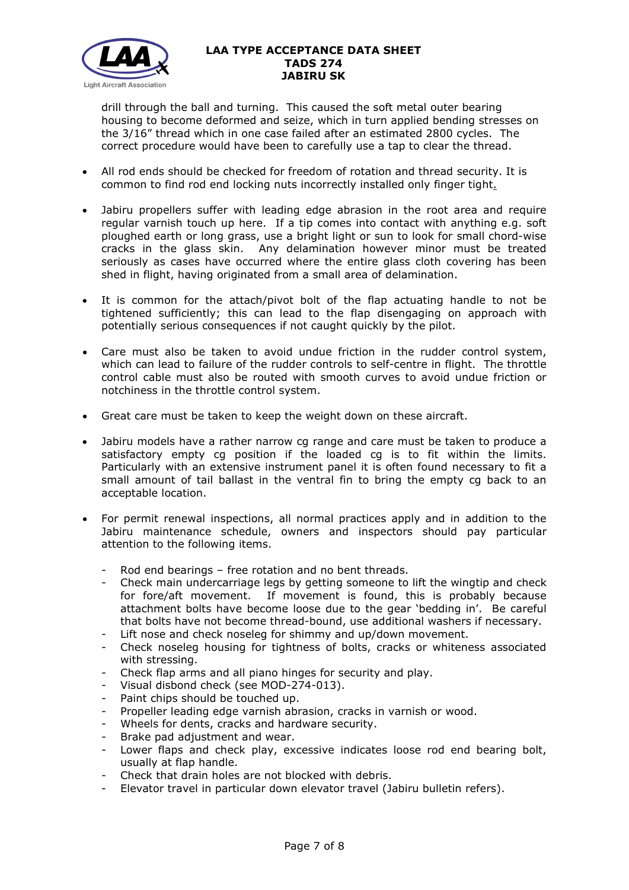

drill through the ball and turning. This caused the soft metal outer bearing housing to become deformed and seize, which in turn applied bending stresses on the 3/16" thread which in one case failed after an estimated 2800 cycles. The correct procedure would have been to carefully use a tap to clear the thread.

- All rod ends should be checked for freedom of rotation and thread security. It is common to find rod end locking nuts incorrectly installed only finger tight.
- Jabiru propellers suffer with leading edge abrasion in the root area and require regular varnish touch up here. If a tip comes into contact with anything e.g. soft ploughed earth or long grass, use a bright light or sun to look for small chord-wise cracks in the glass skin. Any delamination however minor must be treated seriously as cases have occurred where the entire glass cloth covering has been shed in flight, having originated from a small area of delamination.
- It is common for the attach/pivot bolt of the flap actuating handle to not be tightened sufficiently; this can lead to the flap disengaging on approach with potentially serious consequences if not caught quickly by the pilot.
- Care must also be taken to avoid undue friction in the rudder control system, which can lead to failure of the rudder controls to self-centre in flight. The throttle control cable must also be routed with smooth curves to avoid undue friction or notchiness in the throttle control system.
- Great care must be taken to keep the weight down on these aircraft.
- Jabiru models have a rather narrow cg range and care must be taken to produce a satisfactory empty cg position if the loaded cg is to fit within the limits. Particularly with an extensive instrument panel it is often found necessary to fit a small amount of tail ballast in the ventral fin to bring the empty cg back to an acceptable location.
- For permit renewal inspections, all normal practices apply and in addition to the Jabiru maintenance schedule, owners and inspectors should pay particular attention to the following items.
	- Rod end bearings free rotation and no bent threads.
	- Check main undercarriage legs by getting someone to lift the wingtip and check for fore/aft movement. If movement is found, this is probably because attachment bolts have become loose due to the gear 'bedding in'. Be careful that bolts have not become thread-bound, use additional washers if necessary.
	- Lift nose and check noseleg for shimmy and up/down movement.
	- Check noseleg housing for tightness of bolts, cracks or whiteness associated with stressing.
	- Check flap arms and all piano hinges for security and play.
	- Visual disbond check (see MOD-274-013).
	- Paint chips should be touched up.
	- Propeller leading edge varnish abrasion, cracks in varnish or wood.
	- Wheels for dents, cracks and hardware security.
	- Brake pad adjustment and wear.
	- Lower flaps and check play, excessive indicates loose rod end bearing bolt, usually at flap handle.
	- Check that drain holes are not blocked with debris.
	- Elevator travel in particular down elevator travel (Jabiru bulletin refers).